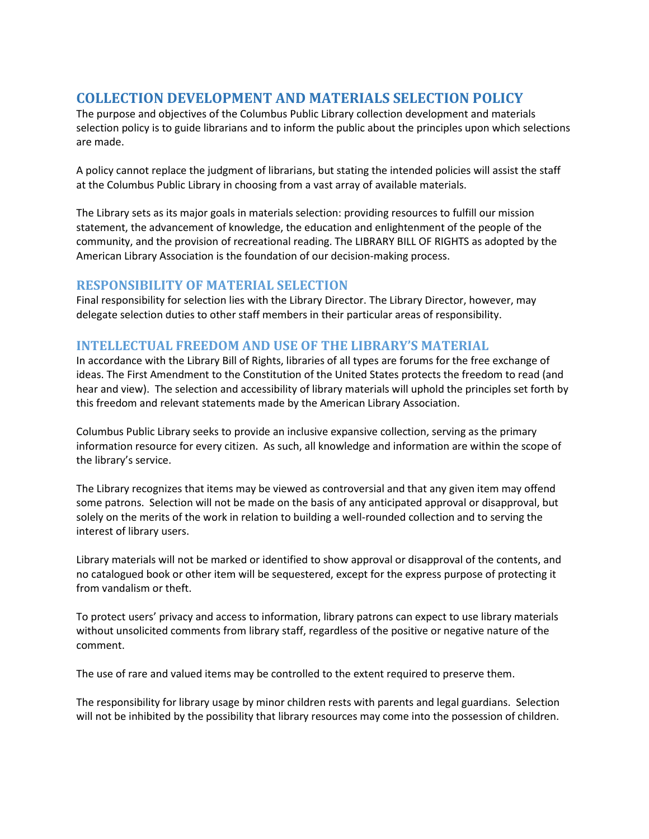# **COLLECTION DEVELOPMENT AND MATERIALS SELECTION POLICY**

The purpose and objectives of the Columbus Public Library collection development and materials selection policy is to guide librarians and to inform the public about the principles upon which selections are made.

A policy cannot replace the judgment of librarians, but stating the intended policies will assist the staff at the Columbus Public Library in choosing from a vast array of available materials.

The Library sets as its major goals in materials selection: providing resources to fulfill our mission statement, the advancement of knowledge, the education and enlightenment of the people of the community, and the provision of recreational reading. The LIBRARY BILL OF RIGHTS as adopted by the American Library Association is the foundation of our decision-making process.

#### **RESPONSIBILITY OF MATERIAL SELECTION**

Final responsibility for selection lies with the Library Director. The Library Director, however, may delegate selection duties to other staff members in their particular areas of responsibility.

## **INTELLECTUAL FREEDOM AND USE OF THE LIBRARY'S MATERIAL**

In accordance with the Library Bill of Rights, libraries of all types are forums for the free exchange of ideas. The First Amendment to the Constitution of the United States protects the freedom to read (and hear and view). The selection and accessibility of library materials will uphold the principles set forth by this freedom and relevant statements made by the American Library Association.

Columbus Public Library seeks to provide an inclusive expansive collection, serving as the primary information resource for every citizen. As such, all knowledge and information are within the scope of the library's service.

The Library recognizes that items may be viewed as controversial and that any given item may offend some patrons. Selection will not be made on the basis of any anticipated approval or disapproval, but solely on the merits of the work in relation to building a well-rounded collection and to serving the interest of library users.

Library materials will not be marked or identified to show approval or disapproval of the contents, and no catalogued book or other item will be sequestered, except for the express purpose of protecting it from vandalism or theft.

To protect users' privacy and access to information, library patrons can expect to use library materials without unsolicited comments from library staff, regardless of the positive or negative nature of the comment.

The use of rare and valued items may be controlled to the extent required to preserve them.

The responsibility for library usage by minor children rests with parents and legal guardians. Selection will not be inhibited by the possibility that library resources may come into the possession of children.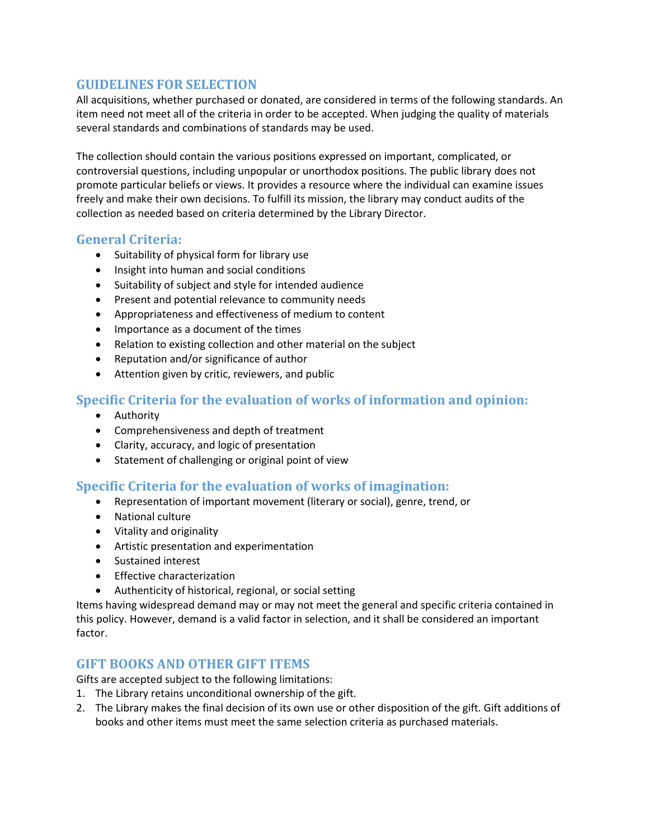#### **GUIDELINES FOR SELECTION**

All acquisitions, whether purchased or donated, are considered in terms of the following standards. An item need not meet all of the criteria in order to be accepted. When judging the quality of materials several standards and combinations of standards may be used.

The collection should contain the various positions expressed on important, complicated, or controversial questions, including unpopular or unorthodox positions. The public library does not promote particular beliefs or views. It provides a resource where the individual can examine issues freely and make their own decisions. To fulfill its mission, the library may conduct audits of the collection as needed based on criteria determined by the Library Director.

## **General Criteria:**

- Suitability of physical form for library use
- Insight into human and social conditions
- Suitability of subject and style for intended audience
- **•** Present and potential relevance to community needs
- Appropriateness and effectiveness of medium to content
- Importance as a document of the times
- Relation to existing collection and other material on the subject
- Reputation and/or significance of author
- Attention given by critic, reviewers, and public

# **Specific Criteria for the evaluation of works of information and opinion:**

- Authority
- Comprehensiveness and depth of treatment
- Clarity, accuracy, and logic of presentation
- Statement of challenging or original point of view

# **Specific Criteria for the evaluation of works of imagination:**

- Representation of important movement (literary or social), genre, trend, or
- National culture
- Vitality and originality
- Artistic presentation and experimentation
- Sustained interest
- **•** Effective characterization
- Authenticity of historical, regional, or social setting

Items having widespread demand may or may not meet the general and specific criteria contained in this policy. However, demand is a valid factor in selection, and it shall be considered an important factor.

#### **GIFT BOOKS AND OTHER GIFT ITEMS**

Gifts are accepted subject to the following limitations:

- 1. The Library retains unconditional ownership of the gift.
- 2. The Library makes the final decision of its own use or other disposition of the gift. Gift additions of books and other items must meet the same selection criteria as purchased materials.